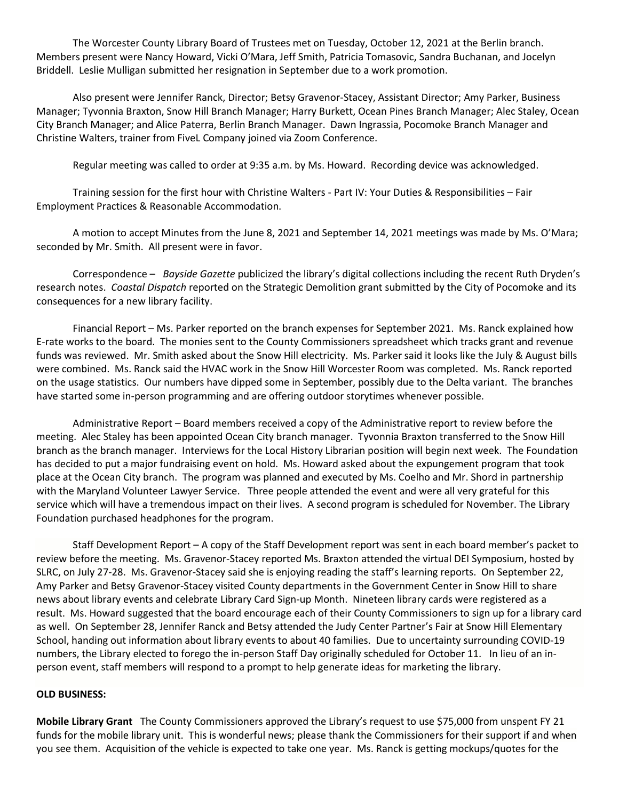The Worcester County Library Board of Trustees met on Tuesday, October 12, 2021 at the Berlin branch. Members present were Nancy Howard, Vicki O'Mara, Jeff Smith, Patricia Tomasovic, Sandra Buchanan, and Jocelyn Briddell. Leslie Mulligan submitted her resignation in September due to a work promotion.

Also present were Jennifer Ranck, Director; Betsy Gravenor-Stacey, Assistant Director; Amy Parker, Business Manager; Tyvonnia Braxton, Snow Hill Branch Manager; Harry Burkett, Ocean Pines Branch Manager; Alec Staley, Ocean City Branch Manager; and Alice Paterra, Berlin Branch Manager. Dawn Ingrassia, Pocomoke Branch Manager and Christine Walters, trainer from FiveL Company joined via Zoom Conference.

Regular meeting was called to order at 9:35 a.m. by Ms. Howard. Recording device was acknowledged.

Training session for the first hour with Christine Walters - Part IV: Your Duties & Responsibilities – Fair Employment Practices & Reasonable Accommodation.

A motion to accept Minutes from the June 8, 2021 and September 14, 2021 meetings was made by Ms. O'Mara; seconded by Mr. Smith. All present were in favor.

Correspondence – *Bayside Gazette* publicized the library's digital collections including the recent Ruth Dryden's research notes. *Coastal Dispatch* reported on the Strategic Demolition grant submitted by the City of Pocomoke and its consequences for a new library facility.

Financial Report – Ms. Parker reported on the branch expenses for September 2021. Ms. Ranck explained how E-rate works to the board. The monies sent to the County Commissioners spreadsheet which tracks grant and revenue funds was reviewed. Mr. Smith asked about the Snow Hill electricity. Ms. Parker said it looks like the July & August bills were combined. Ms. Ranck said the HVAC work in the Snow Hill Worcester Room was completed. Ms. Ranck reported on the usage statistics. Our numbers have dipped some in September, possibly due to the Delta variant. The branches have started some in-person programming and are offering outdoor storytimes whenever possible.

Administrative Report – Board members received a copy of the Administrative report to review before the meeting. Alec Staley has been appointed Ocean City branch manager. Tyvonnia Braxton transferred to the Snow Hill branch as the branch manager. Interviews for the Local History Librarian position will begin next week. The Foundation has decided to put a major fundraising event on hold. Ms. Howard asked about the expungement program that took place at the Ocean City branch. The program was planned and executed by Ms. Coelho and Mr. Shord in partnership with the Maryland Volunteer Lawyer Service. Three people attended the event and were all very grateful for this service which will have a tremendous impact on their lives. A second program is scheduled for November. The Library Foundation purchased headphones for the program.

Staff Development Report – A copy of the Staff Development report was sent in each board member's packet to review before the meeting. Ms. Gravenor-Stacey reported Ms. Braxton attended the virtual DEI Symposium, hosted by SLRC, on July 27-28. Ms. Gravenor-Stacey said she is enjoying reading the staff's learning reports. On September 22, Amy Parker and Betsy Gravenor-Stacey visited County departments in the Government Center in Snow Hill to share news about library events and celebrate Library Card Sign-up Month. Nineteen library cards were registered as a result. Ms. Howard suggested that the board encourage each of their County Commissioners to sign up for a library card as well. On September 28, Jennifer Ranck and Betsy attended the Judy Center Partner's Fair at Snow Hill Elementary School, handing out information about library events to about 40 families. Due to uncertainty surrounding COVID-19 numbers, the Library elected to forego the in-person Staff Day originally scheduled for October 11. In lieu of an inperson event, staff members will respond to a prompt to help generate ideas for marketing the library.

## **OLD BUSINESS:**

**Mobile Library Grant** The County Commissioners approved the Library's request to use \$75,000 from unspent FY 21 funds for the mobile library unit. This is wonderful news; please thank the Commissioners for their support if and when you see them. Acquisition of the vehicle is expected to take one year. Ms. Ranck is getting mockups/quotes for the